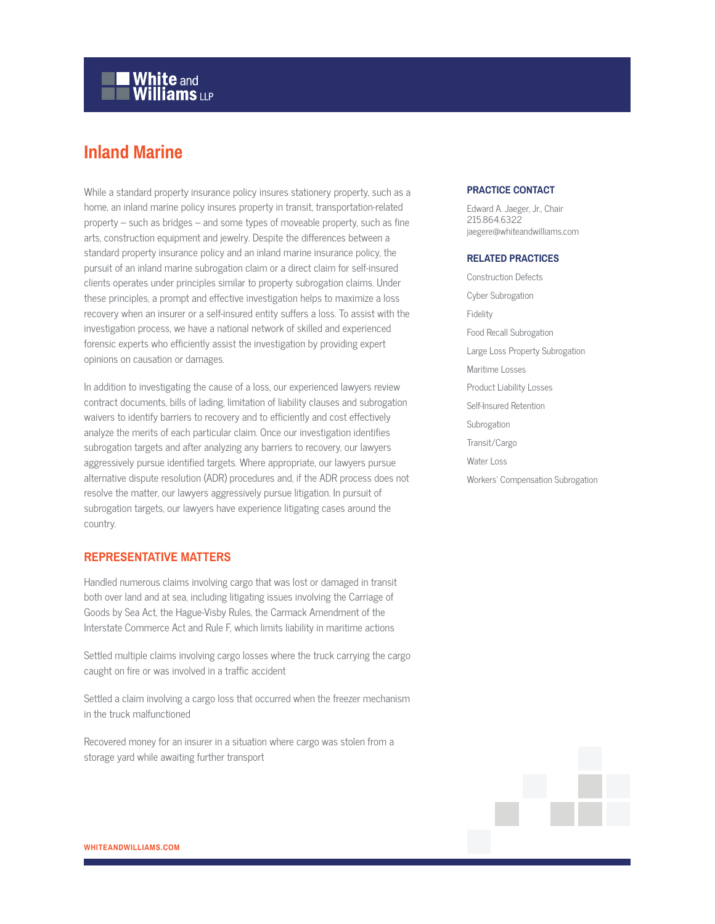# **White and Williams LLP**

## **Inland Marine**

While a standard property insurance policy insures stationery property, such as a home, an inland marine policy insures property in transit, transportation-related property – such as bridges – and some types of moveable property, such as fine arts, construction equipment and jewelry. Despite the differences between a standard property insurance policy and an inland marine insurance policy, the pursuit of an inland marine subrogation claim or a direct claim for self-insured clients operates under principles similar to property subrogation claims. Under these principles, a prompt and effective investigation helps to maximize a loss recovery when an insurer or a self-insured entity suffers a loss. To assist with the investigation process, we have a national network of skilled and experienced forensic experts who efficiently assist the investigation by providing expert opinions on causation or damages.

In addition to investigating the cause of a loss, our experienced lawyers review contract documents, bills of lading, limitation of liability clauses and subrogation waivers to identify barriers to recovery and to efficiently and cost effectively analyze the merits of each particular claim. Once our investigation identifies subrogation targets and after analyzing any barriers to recovery, our lawyers aggressively pursue identified targets. Where appropriate, our lawyers pursue alternative dispute resolution (ADR) procedures and, if the ADR process does not resolve the matter, our lawyers aggressively pursue litigation. In pursuit of subrogation targets, our lawyers have experience litigating cases around the country.

#### **REPRESENTATIVE MATTERS**

Handled numerous claims involving cargo that was lost or damaged in transit both over land and at sea, including litigating issues involving the Carriage of Goods by Sea Act, the Hague-Visby Rules, the Carmack Amendment of the Interstate Commerce Act and Rule F, which limits liability in maritime actions

Settled multiple claims involving cargo losses where the truck carrying the cargo caught on fire or was involved in a traffic accident

Settled a claim involving a cargo loss that occurred when the freezer mechanism in the truck malfunctioned

Recovered money for an insurer in a situation where cargo was stolen from a storage yard while awaiting further transport

### **PRACTICE CONTACT**

Edward A. Jaeger, Jr., Chair 215.864.6322 jaegere@whiteandwilliams.com

#### **RELATED PRACTICES**

Construction Defects Cyber Subrogation Fidelity Food Recall Subrogation Large Loss Property Subrogation Maritime Losses Product Liability Losses Self-Insured Retention Subrogation Transit/Cargo Water Loss Workers' Compensation Subrogation